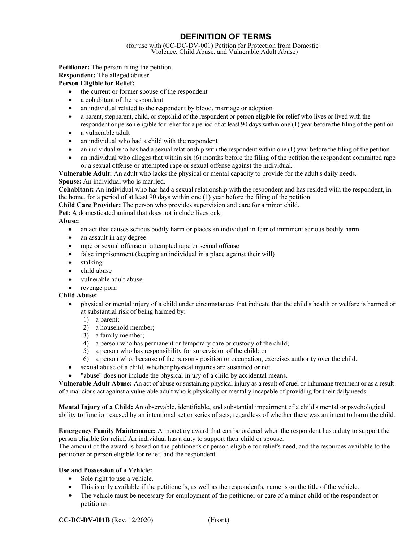# **DEFINITION OF TERMS**

(for use with (CC-DC-DV-001) Petition for Protection from Domestic Violence, Child Abuse, and Vulnerable Adult Abuse)

**Petitioner:** The person filing the petition.

**Respondent:** The alleged abuser.

# **Person Eligible for Relief:**

- the current or former spouse of the respondent
- a cohabitant of the respondent
- an individual related to the respondent by blood, marriage or adoption
- a parent, stepparent, child, or stepchild of the respondent or person eligible for relief who lives or lived with the respondent or person eligible for relief for a period of at least 90 days within one (1) year before the filing of the petition
- a vulnerable adult
- an individual who had a child with the respondent
- an individual who has had a sexual relationship with the respondent within one (1) year before the filing of the petition
- an individual who alleges that within six (6) months before the filing of the petition the respondent committed rape or a sexual offense or attempted rape or sexual offense against the individual.

**Vulnerable Adult:** An adult who lacks the physical or mental capacity to provide for the adult's daily needs.

**Spouse:** An individual who is married.

**Cohabitant:** An individual who has had a sexual relationship with the respondent and has resided with the respondent, in the home, for a period of at least 90 days within one (1) year before the filing of the petition.

**Child Care Provider:** The person who provides supervision and care for a minor child.

**Pet:** A domesticated animal that does not include livestock.

**Abuse:** 

- an act that causes serious bodily harm or places an individual in fear of imminent serious bodily harm
- an assault in any degree
- rape or sexual offense or attempted rape or sexual offense
- false imprisonment (keeping an individual in a place against their will)
- stalking
- child abuse
- vulnerable adult abuse
- revenge porn

# **Child Abuse:**

- physical or mental injury of a child under circumstances that indicate that the child's health or welfare is harmed or at substantial risk of being harmed by:
	- 1) a parent;
	- 2) a household member;
	- 3) a family member;
	- 4) a person who has permanent or temporary care or custody of the child;
	- 5) a person who has responsibility for supervision of the child; or
	- 6) a person who, because of the person's position or occupation, exercises authority over the child.
- sexual abuse of a child, whether physical injuries are sustained or not.
- "abuse" does not include the physical injury of a child by accidental means.

**Vulnerable Adult Abuse:** An act of abuse or sustaining physical injury as a result of cruel or inhumane treatment or as a result of a malicious act against a vulnerable adult who is physically or mentally incapable of providing for their daily needs.

**Mental Injury of a Child:** An observable, identifiable, and substantial impairment of a child's mental or psychological ability to function caused by an intentional act or series of acts, regardless of whether there was an intent to harm the child.

**Emergency Family Maintenance:** A monetary award that can be ordered when the respondent has a duty to support the person eligible for relief. An individual has a duty to support their child or spouse.

The amount of the award is based on the petitioner's or person eligible for relief's need, and the resources available to the petitioner or person eligible for relief, and the respondent.

# **Use and Possession of a Vehicle:**

- Sole right to use a vehicle.
- This is only available if the petitioner's, as well as the respondent's, name is on the title of the vehicle.
- The vehicle must be necessary for employment of the petitioner or care of a minor child of the respondent or petitioner.